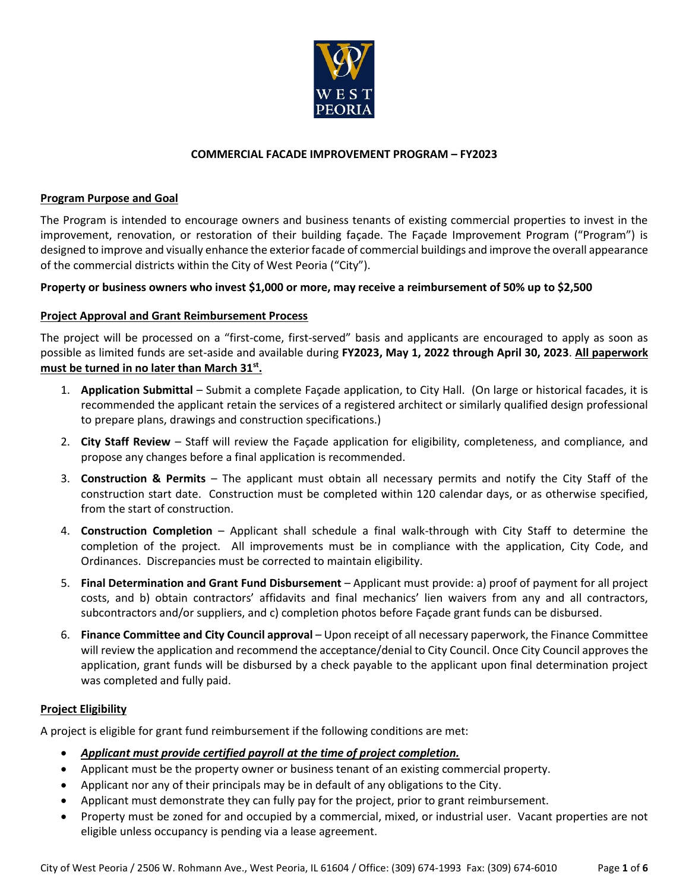

# **COMMERCIAL FACADE IMPROVEMENT PROGRAM – FY2023**

### **Program Purpose and Goal**

The Program is intended to encourage owners and business tenants of existing commercial properties to invest in the improvement, renovation, or restoration of their building façade. The Façade Improvement Program ("Program") is designed to improve and visually enhance the exterior facade of commercial buildings and improve the overall appearance of the commercial districts within the City of West Peoria ("City").

# **Property or business owners who invest \$1,000 or more, may receive a reimbursement of 50% up to \$2,500**

# **Project Approval and Grant Reimbursement Process**

The project will be processed on a "first-come, first-served" basis and applicants are encouraged to apply as soon as possible as limited funds are set-aside and available during **FY2023, May 1, 2022 through April 30, 2023**. **All paperwork must be turned in no later than March 31st .**

- 1. **Application Submittal** Submit a complete Façade application, to City Hall. (On large or historical facades, it is recommended the applicant retain the services of a registered architect or similarly qualified design professional to prepare plans, drawings and construction specifications.)
- 2. **City Staff Review** Staff will review the Façade application for eligibility, completeness, and compliance, and propose any changes before a final application is recommended.
- 3. **Construction & Permits** The applicant must obtain all necessary permits and notify the City Staff of the construction start date. Construction must be completed within 120 calendar days, or as otherwise specified, from the start of construction.
- 4. **Construction Completion** Applicant shall schedule a final walk-through with City Staff to determine the completion of the project. All improvements must be in compliance with the application, City Code, and Ordinances. Discrepancies must be corrected to maintain eligibility.
- 5. **Final Determination and Grant Fund Disbursement** Applicant must provide: a) proof of payment for all project costs, and b) obtain contractors' affidavits and final mechanics' lien waivers from any and all contractors, subcontractors and/or suppliers, and c) completion photos before Façade grant funds can be disbursed.
- 6. **Finance Committee and City Council approval** Upon receipt of all necessary paperwork, the Finance Committee will review the application and recommend the acceptance/denial to City Council. Once City Council approves the application, grant funds will be disbursed by a check payable to the applicant upon final determination project was completed and fully paid.

#### **Project Eligibility**

A project is eligible for grant fund reimbursement if the following conditions are met:

- *Applicant must provide certified payroll at the time of project completion.*
- Applicant must be the property owner or business tenant of an existing commercial property.
- Applicant nor any of their principals may be in default of any obligations to the City.
- Applicant must demonstrate they can fully pay for the project, prior to grant reimbursement.
- Property must be zoned for and occupied by a commercial, mixed, or industrial user. Vacant properties are not eligible unless occupancy is pending via a lease agreement.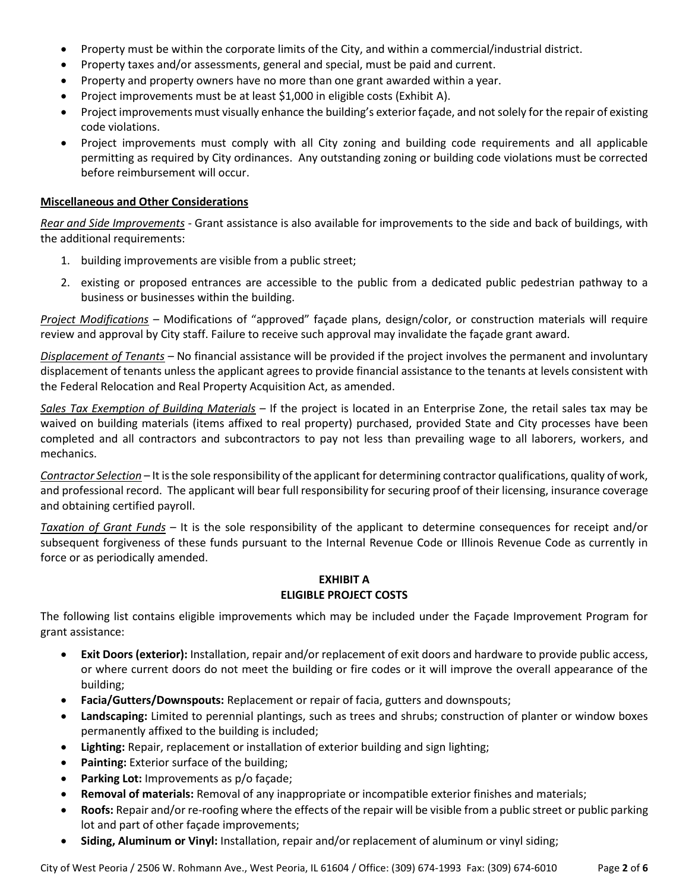- Property must be within the corporate limits of the City, and within a commercial/industrial district.
- Property taxes and/or assessments, general and special, must be paid and current.
- Property and property owners have no more than one grant awarded within a year.
- Project improvements must be at least \$1,000 in eligible costs (Exhibit A).
- Project improvements must visually enhance the building's exterior façade, and not solely for the repair of existing code violations.
- Project improvements must comply with all City zoning and building code requirements and all applicable permitting as required by City ordinances. Any outstanding zoning or building code violations must be corrected before reimbursement will occur.

# **Miscellaneous and Other Considerations**

*Rear and Side Improvements* - Grant assistance is also available for improvements to the side and back of buildings, with the additional requirements:

- 1. building improvements are visible from a public street;
- 2. existing or proposed entrances are accessible to the public from a dedicated public pedestrian pathway to a business or businesses within the building.

*Project Modifications* – Modifications of "approved" façade plans, design/color, or construction materials will require review and approval by City staff. Failure to receive such approval may invalidate the façade grant award.

*Displacement of Tenants* – No financial assistance will be provided if the project involves the permanent and involuntary displacement of tenants unless the applicant agrees to provide financial assistance to the tenants at levels consistent with the Federal Relocation and Real Property Acquisition Act, as amended.

*Sales Tax Exemption of Building Materials* – If the project is located in an Enterprise Zone, the retail sales tax may be waived on building materials (items affixed to real property) purchased, provided State and City processes have been completed and all contractors and subcontractors to pay not less than prevailing wage to all laborers, workers, and mechanics.

*Contractor Selection* – It is the sole responsibility of the applicant for determining contractor qualifications, quality of work, and professional record. The applicant will bear full responsibility for securing proof of their licensing, insurance coverage and obtaining certified payroll.

*Taxation of Grant Funds* – It is the sole responsibility of the applicant to determine consequences for receipt and/or subsequent forgiveness of these funds pursuant to the Internal Revenue Code or Illinois Revenue Code as currently in force or as periodically amended.

# **EXHIBIT A ELIGIBLE PROJECT COSTS**

The following list contains eligible improvements which may be included under the Façade Improvement Program for grant assistance:

- **Exit Doors (exterior):** Installation, repair and/or replacement of exit doors and hardware to provide public access, or where current doors do not meet the building or fire codes or it will improve the overall appearance of the building;
- **Facia/Gutters/Downspouts:** Replacement or repair of facia, gutters and downspouts;
- **Landscaping:** Limited to perennial plantings, such as trees and shrubs; construction of planter or window boxes permanently affixed to the building is included;
- **Lighting:** Repair, replacement or installation of exterior building and sign lighting;
- **Painting:** Exterior surface of the building;
- **Parking Lot:** Improvements as p/o façade;
- **Removal of materials:** Removal of any inappropriate or incompatible exterior finishes and materials;
- **Roofs:** Repair and/or re-roofing where the effects of the repair will be visible from a public street or public parking lot and part of other façade improvements;
- **Siding, Aluminum or Vinyl:** Installation, repair and/or replacement of aluminum or vinyl siding;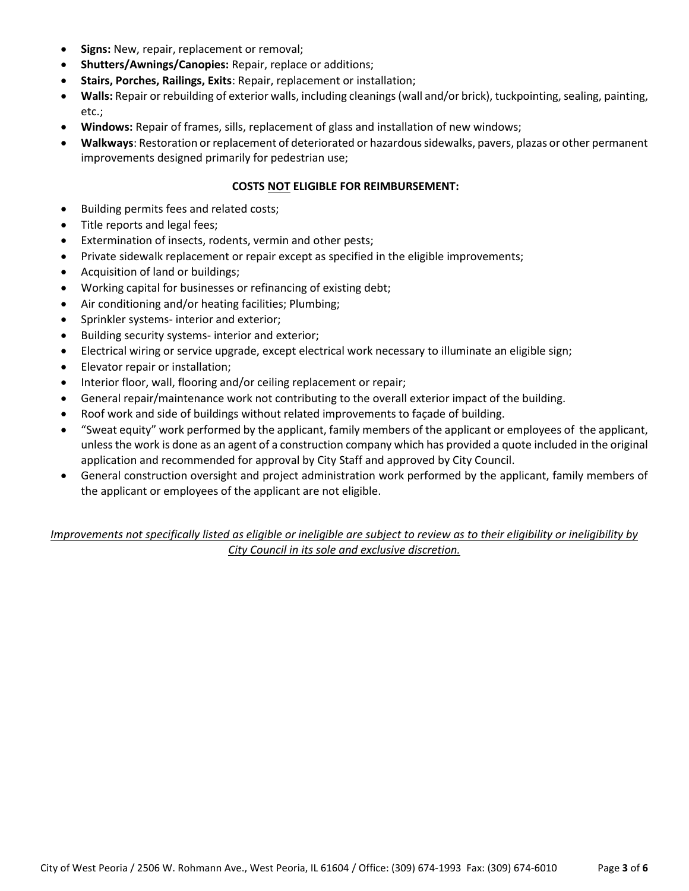- **Signs:** New, repair, replacement or removal;
- **Shutters/Awnings/Canopies:** Repair, replace or additions;
- **Stairs, Porches, Railings, Exits**: Repair, replacement or installation;
- **Walls:** Repair or rebuilding of exterior walls, including cleanings (wall and/or brick), tuckpointing, sealing, painting, etc.;
- **Windows:** Repair of frames, sills, replacement of glass and installation of new windows;
- **Walkways**: Restoration or replacement of deteriorated or hazardous sidewalks, pavers, plazas or other permanent improvements designed primarily for pedestrian use;

# **COSTS NOT ELIGIBLE FOR REIMBURSEMENT:**

- Building permits fees and related costs;
- Title reports and legal fees;
- Extermination of insects, rodents, vermin and other pests;
- Private sidewalk replacement or repair except as specified in the eligible improvements;
- Acquisition of land or buildings;
- Working capital for businesses or refinancing of existing debt;
- Air conditioning and/or heating facilities; Plumbing;
- Sprinkler systems- interior and exterior;
- Building security systems- interior and exterior;
- Electrical wiring or service upgrade, except electrical work necessary to illuminate an eligible sign;
- Elevator repair or installation;
- Interior floor, wall, flooring and/or ceiling replacement or repair;
- General repair/maintenance work not contributing to the overall exterior impact of the building.
- Roof work and side of buildings without related improvements to façade of building.
- "Sweat equity" work performed by the applicant, family members of the applicant or employees of the applicant, unless the work is done as an agent of a construction company which has provided a quote included in the original application and recommended for approval by City Staff and approved by City Council.
- General construction oversight and project administration work performed by the applicant, family members of the applicant or employees of the applicant are not eligible.

*Improvements not specifically listed as eligible or ineligible are subject to review as to their eligibility or ineligibility by City Council in its sole and exclusive discretion.*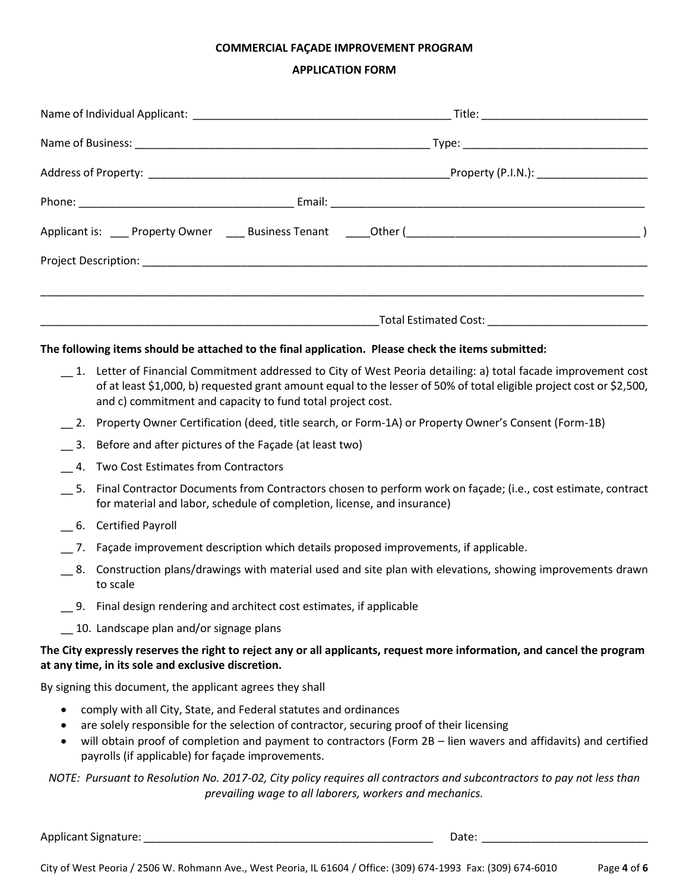# **COMMERCIAL FAÇADE IMPROVEMENT PROGRAM**

### **APPLICATION FORM**

|                                                                                                                                                                                                                                                                                                                                                                      | The following items should be attached to the final application. Please check the items submitted:                                                                                                                                                                                                   |                                                                                                                         |  |  |
|----------------------------------------------------------------------------------------------------------------------------------------------------------------------------------------------------------------------------------------------------------------------------------------------------------------------------------------------------------------------|------------------------------------------------------------------------------------------------------------------------------------------------------------------------------------------------------------------------------------------------------------------------------------------------------|-------------------------------------------------------------------------------------------------------------------------|--|--|
|                                                                                                                                                                                                                                                                                                                                                                      | 1. Letter of Financial Commitment addressed to City of West Peoria detailing: a) total facade improvement cost<br>of at least \$1,000, b) requested grant amount equal to the lesser of 50% of total eligible project cost or \$2,500,<br>and c) commitment and capacity to fund total project cost. |                                                                                                                         |  |  |
|                                                                                                                                                                                                                                                                                                                                                                      | 2. Property Owner Certification (deed, title search, or Form-1A) or Property Owner's Consent (Form-1B)                                                                                                                                                                                               |                                                                                                                         |  |  |
| 3.                                                                                                                                                                                                                                                                                                                                                                   | Before and after pictures of the Façade (at least two)                                                                                                                                                                                                                                               |                                                                                                                         |  |  |
| 4.                                                                                                                                                                                                                                                                                                                                                                   | Two Cost Estimates from Contractors                                                                                                                                                                                                                                                                  |                                                                                                                         |  |  |
|                                                                                                                                                                                                                                                                                                                                                                      | for material and labor, schedule of completion, license, and insurance)                                                                                                                                                                                                                              | 5. Final Contractor Documents from Contractors chosen to perform work on façade; (i.e., cost estimate, contract         |  |  |
|                                                                                                                                                                                                                                                                                                                                                                      | 6. Certified Payroll                                                                                                                                                                                                                                                                                 |                                                                                                                         |  |  |
|                                                                                                                                                                                                                                                                                                                                                                      | _7. Façade improvement description which details proposed improvements, if applicable.                                                                                                                                                                                                               |                                                                                                                         |  |  |
| 8.                                                                                                                                                                                                                                                                                                                                                                   | to scale                                                                                                                                                                                                                                                                                             | Construction plans/drawings with material used and site plan with elevations, showing improvements drawn                |  |  |
|                                                                                                                                                                                                                                                                                                                                                                      | _9. Final design rendering and architect cost estimates, if applicable                                                                                                                                                                                                                               |                                                                                                                         |  |  |
|                                                                                                                                                                                                                                                                                                                                                                      | 10. Landscape plan and/or signage plans                                                                                                                                                                                                                                                              |                                                                                                                         |  |  |
|                                                                                                                                                                                                                                                                                                                                                                      | at any time, in its sole and exclusive discretion.                                                                                                                                                                                                                                                   | The City expressly reserves the right to reject any or all applicants, request more information, and cancel the program |  |  |
|                                                                                                                                                                                                                                                                                                                                                                      | By signing this document, the applicant agrees they shall                                                                                                                                                                                                                                            |                                                                                                                         |  |  |
| comply with all City, State, and Federal statutes and ordinances<br>$\bullet$<br>are solely responsible for the selection of contractor, securing proof of their licensing<br>٠<br>will obtain proof of completion and payment to contractors (Form 2B - lien wavers and affidavits) and certified<br>$\bullet$<br>payrolls (if applicable) for façade improvements. |                                                                                                                                                                                                                                                                                                      |                                                                                                                         |  |  |
|                                                                                                                                                                                                                                                                                                                                                                      |                                                                                                                                                                                                                                                                                                      | NOTE: Pursuant to Resolution No. 2017-02, City policy requires all contractors and subcontractors to pay not less than  |  |  |

*prevailing wage to all laborers, workers and mechanics.*

Applicant Signature: \_\_\_\_\_\_\_\_\_\_\_\_\_\_\_\_\_\_\_\_\_\_\_\_\_\_\_\_\_\_\_\_\_\_\_\_\_\_\_\_\_\_\_\_\_\_\_ Date: \_\_\_\_\_\_\_\_\_\_\_\_\_\_\_\_\_\_\_\_\_\_\_\_\_\_\_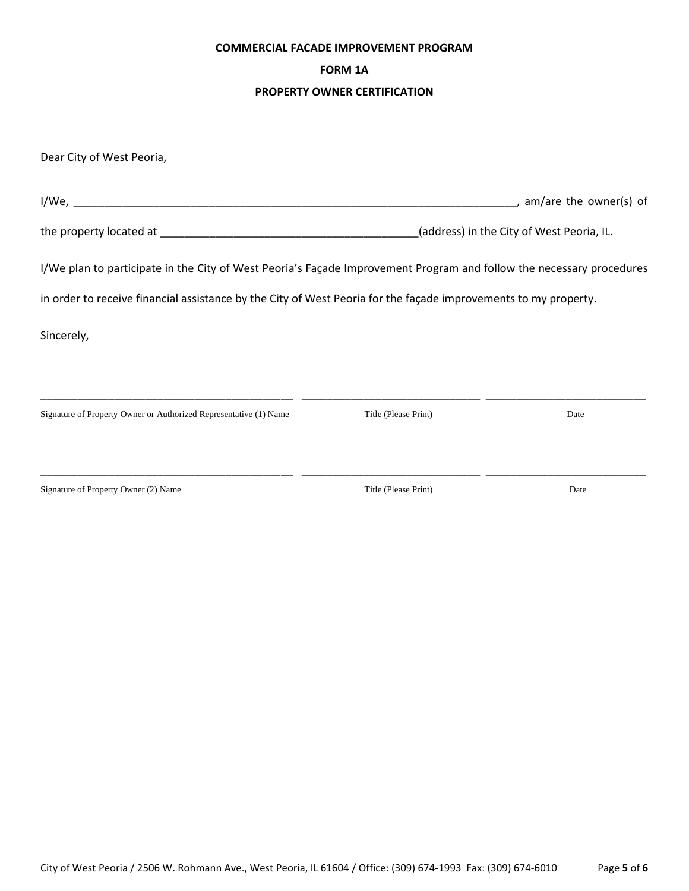#### **COMMERCIAL FACADE IMPROVEMENT PROGRAM**

# **FORM 1A**

#### **PROPERTY OWNER CERTIFICATION**

| Dear City of West Peoria,                                                                                            |                      |                                           |
|----------------------------------------------------------------------------------------------------------------------|----------------------|-------------------------------------------|
|                                                                                                                      |                      | $\rightarrow$ , am/are the owner(s) of    |
|                                                                                                                      |                      | (address) in the City of West Peoria, IL. |
| I/We plan to participate in the City of West Peoria's Façade Improvement Program and follow the necessary procedures |                      |                                           |
| in order to receive financial assistance by the City of West Peoria for the façade improvements to my property.      |                      |                                           |
| Sincerely,                                                                                                           |                      |                                           |
|                                                                                                                      |                      |                                           |
| Signature of Property Owner or Authorized Representative (1) Name                                                    | Title (Please Print) | Date                                      |
|                                                                                                                      |                      |                                           |

Signature of Property Owner (2) Name Title (Please Print) Date